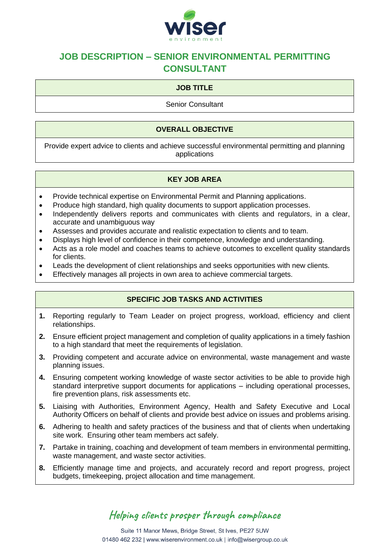

## **JOB DESCRIPTION – SENIOR ENVIRONMENTAL PERMITTING CONSULTANT**

## **JOB TITLE**

Senior Consultant

#### **OVERALL OBJECTIVE**

Provide expert advice to clients and achieve successful environmental permitting and planning applications

#### **KEY JOB AREA**

- Provide technical expertise on Environmental Permit and Planning applications.
- Produce high standard, high quality documents to support application processes.
- Independently delivers reports and communicates with clients and regulators, in a clear, accurate and unambiguous way
- Assesses and provides accurate and realistic expectation to clients and to team.
- Displays high level of confidence in their competence, knowledge and understanding.
- Acts as a role model and coaches teams to achieve outcomes to excellent quality standards for clients.
- Leads the development of client relationships and seeks opportunities with new clients.
- Effectively manages all projects in own area to achieve commercial targets.

## **SPECIFIC JOB TASKS AND ACTIVITIES**

- **1.** Reporting regularly to Team Leader on project progress, workload, efficiency and client relationships.
- **2.** Ensure efficient project management and completion of quality applications in a timely fashion to a high standard that meet the requirements of legislation.
- **3.** Providing competent and accurate advice on environmental, waste management and waste planning issues.
- **4.** Ensuring competent working knowledge of waste sector activities to be able to provide high standard interpretive support documents for applications – including operational processes, fire prevention plans, risk assessments etc.
- **5.** Liaising with Authorities, Environment Agency, Health and Safety Executive and Local Authority Officers on behalf of clients and provide best advice on issues and problems arising.
- **6.** Adhering to health and safety practices of the business and that of clients when undertaking site work. Ensuring other team members act safely.
- **7.** Partake in training, coaching and development of team members in environmental permitting, waste management, and waste sector activities.
- **8.** Efficiently manage time and projects, and accurately record and report progress, project budgets, timekeeping, project allocation and time management.

# Helping clients prosper through compliance